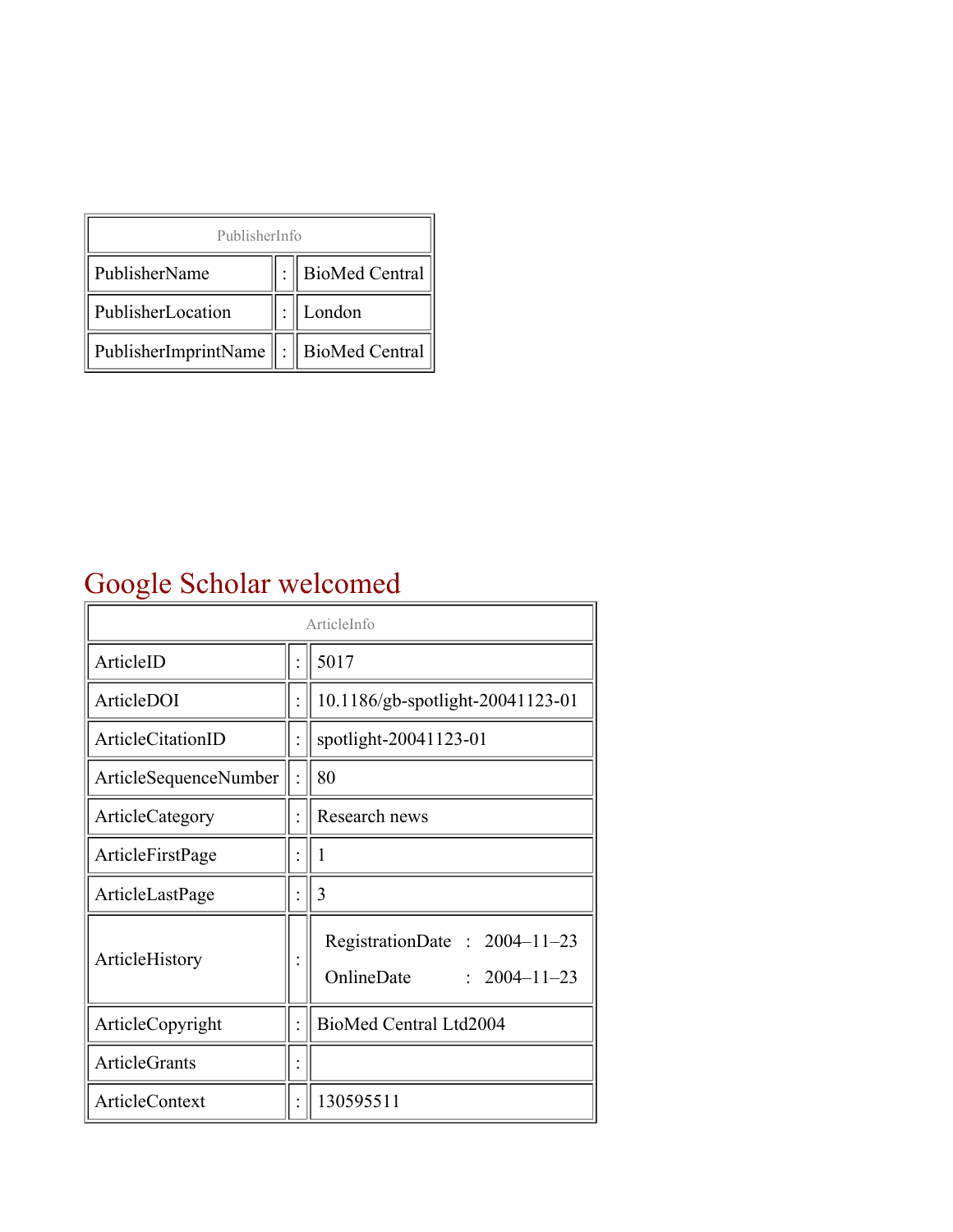| PublisherInfo                                   |  |                    |  |  |
|-------------------------------------------------|--|--------------------|--|--|
| PublisherName                                   |  | :   BioMed Central |  |  |
| PublisherLocation                               |  | London             |  |  |
| PublisherImprintName $\ \cdot\ $ BioMed Central |  |                    |  |  |

## Google Scholar welcomed

| ArticleInfo           |  |                                                                  |
|-----------------------|--|------------------------------------------------------------------|
| ArticleID             |  | 5017                                                             |
| ArticleDOI            |  | 10.1186/gb-spotlight-20041123-01                                 |
| ArticleCitationID     |  | spotlight-20041123-01                                            |
| ArticleSequenceNumber |  | 80                                                               |
| ArticleCategory       |  | Research news                                                    |
| ArticleFirstPage      |  | 1                                                                |
| ArticleLastPage       |  | 3                                                                |
| ArticleHistory        |  | RegistrationDate: 2004-11-23<br>OnlineDate<br>$: 2004 - 11 - 23$ |
| ArticleCopyright      |  | BioMed Central Ltd2004                                           |
| <b>ArticleGrants</b>  |  |                                                                  |
| ArticleContext        |  | 130595511                                                        |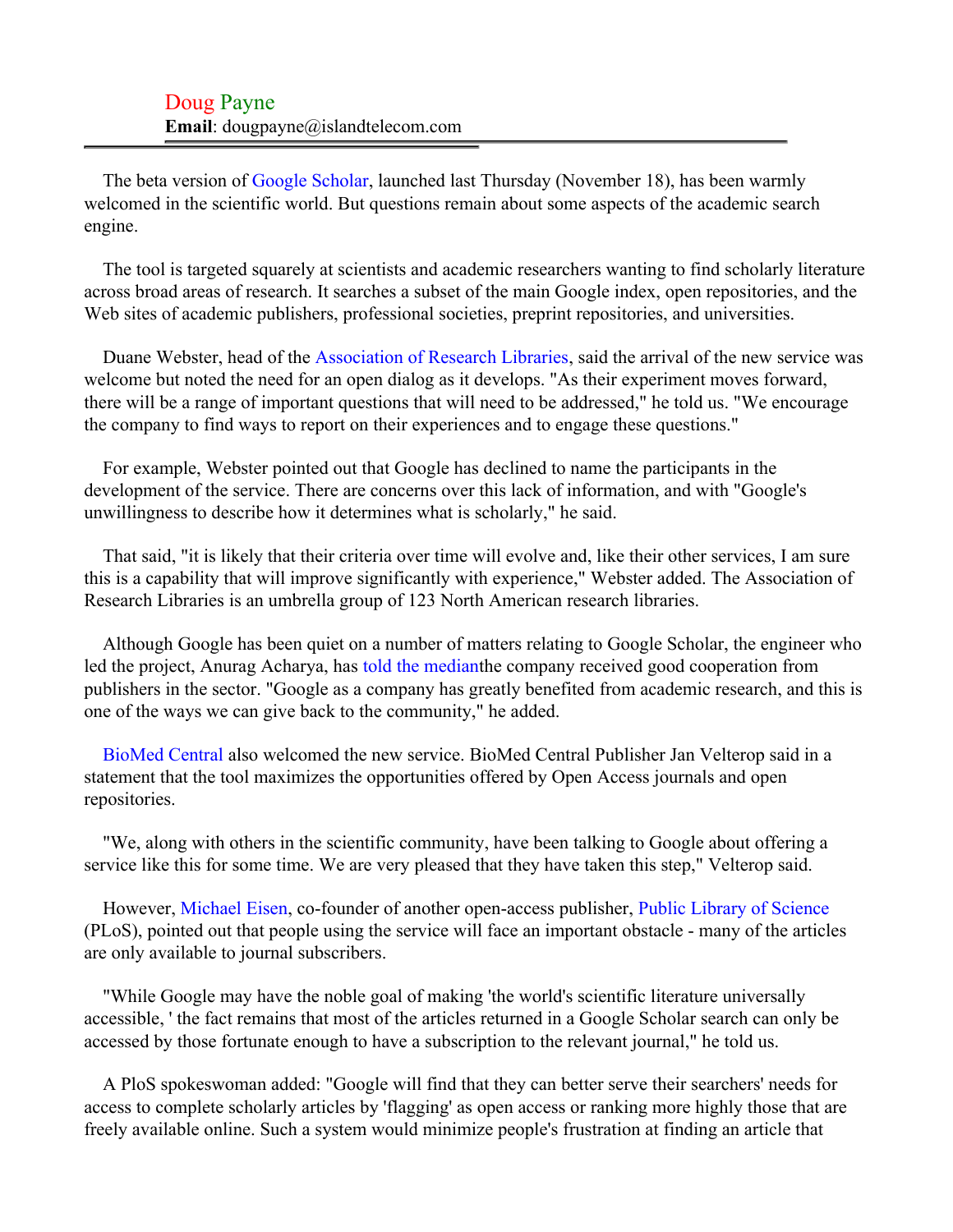Doug Payne **Email**: dougpayne@islandtelecom.com

The beta version of [Google Scholar,](#page-2-0) launched last Thursday (November 18), has been warmly welcomed in the scientific world. But questions remain about some aspects of the academic search engine.

The tool is targeted squarely at scientists and academic researchers wanting to find scholarly literature across broad areas of research. It searches a subset of the main Google index, open repositories, and the Web sites of academic publishers, professional societies, preprint repositories, and universities.

Duane Webster, head of the [Association of Research Libraries,](#page-2-1) said the arrival of the new service was welcome but noted the need for an open dialog as it develops. "As their experiment moves forward, there will be a range of important questions that will need to be addressed," he told us. "We encourage the company to find ways to report on their experiences and to engage these questions."

For example, Webster pointed out that Google has declined to name the participants in the development of the service. There are concerns over this lack of information, and with "Google's unwillingness to describe how it determines what is scholarly," he said.

That said, "it is likely that their criteria over time will evolve and, like their other services, I am sure this is a capability that will improve significantly with experience," Webster added. The Association of Research Libraries is an umbrella group of 123 North American research libraries.

Although Google has been quiet on a number of matters relating to Google Scholar, the engineer who led the project, Anurag Acharya, has [told the mediant](#page-2-2)he company received good cooperation from publishers in the sector. "Google as a company has greatly benefited from academic research, and this is one of the ways we can give back to the community," he added.

[BioMed Central](#page-2-3) also welcomed the new service. BioMed Central Publisher Jan Velterop said in a statement that the tool maximizes the opportunities offered by Open Access journals and open repositories.

"We, along with others in the scientific community, have been talking to Google about offering a service like this for some time. We are very pleased that they have taken this step," Velterop said.

However, [Michael Eisen,](#page-2-4) co-founder of another open-access publisher, [Public Library of Science](#page-2-5) (PLoS), pointed out that people using the service will face an important obstacle - many of the articles are only available to journal subscribers.

"While Google may have the noble goal of making 'the world's scientific literature universally accessible, ' the fact remains that most of the articles returned in a Google Scholar search can only be accessed by those fortunate enough to have a subscription to the relevant journal," he told us.

A PloS spokeswoman added: "Google will find that they can better serve their searchers' needs for access to complete scholarly articles by 'flagging' as open access or ranking more highly those that are freely available online. Such a system would minimize people's frustration at finding an article that